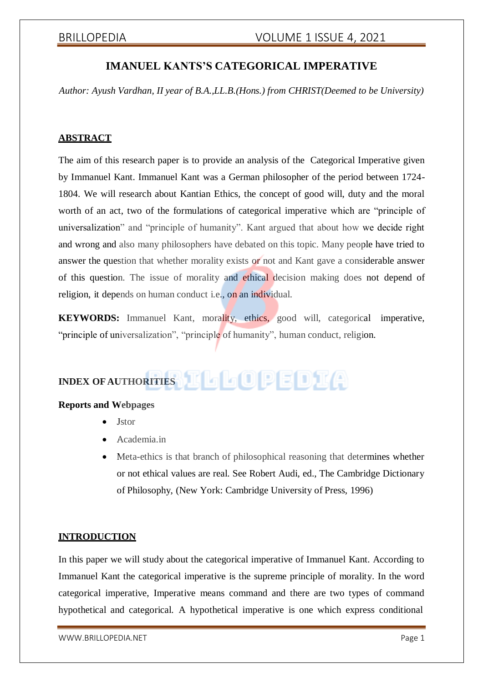# **IMANUEL KANTS'S CATEGORICAL IMPERATIVE**

*Author: Ayush Vardhan, II year of B.A.,LL.B.(Hons.) from CHRIST(Deemed to be University)*

### **ABSTRACT**

The aim of this research paper is to provide an analysis of the Categorical Imperative given by Immanuel Kant. Immanuel Kant was a German philosopher of the period between 1724- 1804. We will research about Kantian Ethics, the concept of good will, duty and the moral worth of an act, two of the formulations of categorical imperative which are "principle of universalization" and "principle of humanity". Kant argued that about how we decide right and wrong and also many philosophers have debated on this topic. Many people have tried to answer the question that whether morality exists or not and Kant gave a considerable answer of this question. The issue of morality and ethical decision making does not depend of religion, it depends on human conduct i.e., on an individual.

**KEYWORDS:** Immanuel Kant, morality, ethics, good will, categorical imperative, "principle of universalization", "principle of humanity", human conduct, religion.

# **INDEX** OF AUTHORITIES **II A D D D D D D**

### **Reports and Webpages**

- Jstor
- Academia.in
- Meta-ethics is that branch of philosophical reasoning that determines whether or not ethical values are real. See Robert Audi, ed., The Cambridge Dictionary of Philosophy, (New York: Cambridge University of Press, 1996)

### **INTRODUCTION**

In this paper we will study about the categorical imperative of Immanuel Kant. According to Immanuel Kant the categorical imperative is the supreme principle of morality. In the word categorical imperative, Imperative means command and there are two types of command hypothetical and categorical. A hypothetical imperative is one which express conditional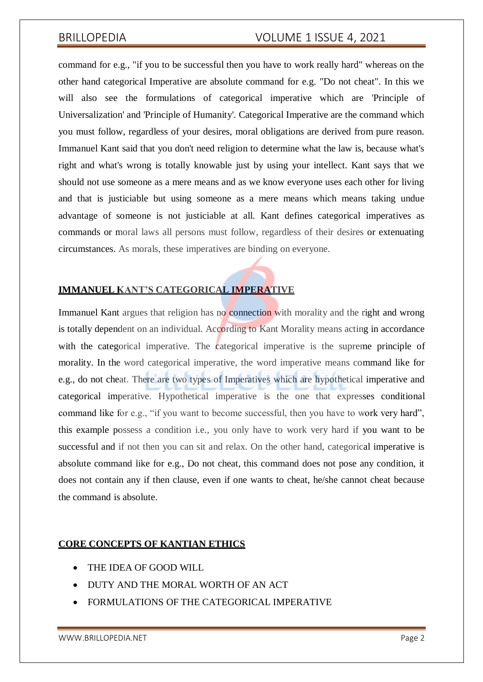## BRILLOPEDIA VOLUME 1 ISSUE 4, 2021

command for e.g., "if you to be successful then you have to work really hard" whereas on the other hand categorical Imperative are absolute command for e.g. "Do not cheat". In this we will also see the formulations of categorical imperative which are 'Principle of Universalization' and 'Principle of Humanity'. Categorical Imperative are the command which you must follow, regardless of your desires, moral obligations are derived from pure reason. Immanuel Kant said that you don't need religion to determine what the law is, because what's right and what's wrong is totally knowable just by using your intellect. Kant says that we should not use someone as a mere means and as we know everyone uses each other for living and that is justiciable but using someone as a mere means which means taking undue advantage of someone is not justiciable at all. Kant defines categorical imperatives as commands or moral laws all persons must follow, regardless of their desires or extenuating circumstances. As morals, these imperatives are binding on everyone.

### **IMMANUEL KANT'S CATEGORICAL IMPERATIVE**

Immanuel Kant argues that religion has no connection with morality and the right and wrong is totally dependent on an individual. According to Kant Morality means acting in accordance with the categorical imperative. The categorical imperative is the supreme principle of morality. In the word categorical imperative, the word imperative means command like for e.g., do not cheat. There are two types of Imperatives which are hypothetical imperative and categorical imperative. Hypothetical imperative is the one that expresses conditional command like for e.g., "if you want to become successful, then you have to work very hard", this example possess a condition i.e., you only have to work very hard if you want to be successful and if not then you can sit and relax. On the other hand, categorical imperative is absolute command like for e.g., Do not cheat, this command does not pose any condition, it does not contain any if then clause, even if one wants to cheat, he/she cannot cheat because the command is absolute.

#### **CORE CONCEPTS OF KANTIAN ETHICS**

- THE IDEA OF GOOD WILL
- DUTY AND THE MORAL WORTH OF AN ACT
- FORMULATIONS OF THE CATEGORICAL IMPERATIVE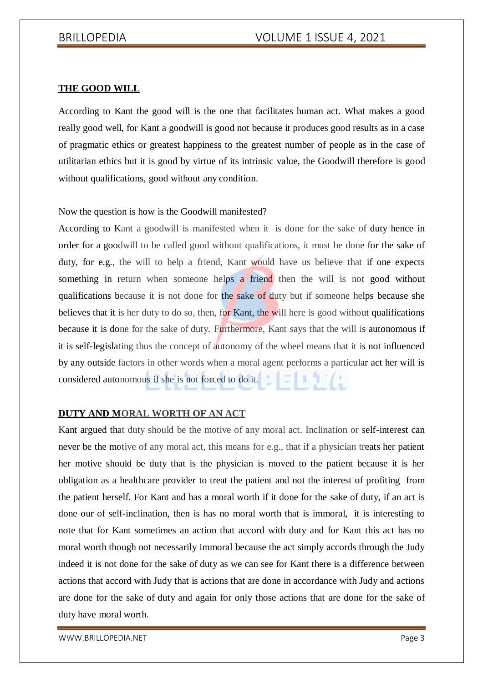#### **THE GOOD WILL**

According to Kant the good will is the one that facilitates human act. What makes a good really good well, for Kant a goodwill is good not because it produces good results as in a case of pragmatic ethics or greatest happiness to the greatest number of people as in the case of utilitarian ethics but it is good by virtue of its intrinsic value, the Goodwill therefore is good without qualifications, good without any condition.

#### Now the question is how is the Goodwill manifested?

According to Kant a goodwill is manifested when it is done for the sake of duty hence in order for a goodwill to be called good without qualifications, it must be done for the sake of duty, for e.g., the will to help a friend, Kant would have us believe that if one expects something in return when someone helps a friend then the will is not good without qualifications because it is not done for the sake of duty but if someone helps because she believes that it is her duty to do so, then, for Kant, the will here is good without qualifications because it is done for the sake of duty. Furthermore, Kant says that the will is autonomous if it is self-legislating thus the concept of autonomy of the wheel means that it is not influenced by any outside factors in other words when a moral agent performs a particular act her will is considered autonomous if she is not forced to do it.

### **DUTY AND MORAL WORTH OF AN ACT**

Kant argued that duty should be the motive of any moral act. Inclination or self-interest can never be the motive of any moral act, this means for e.g., that if a physician treats her patient her motive should be duty that is the physician is moved to the patient because it is her obligation as a healthcare provider to treat the patient and not the interest of profiting from the patient herself. For Kant and has a moral worth if it done for the sake of duty, if an act is done our of self-inclination, then is has no moral worth that is immoral, it is interesting to note that for Kant sometimes an action that accord with duty and for Kant this act has no moral worth though not necessarily immoral because the act simply accords through the Judy indeed it is not done for the sake of duty as we can see for Kant there is a difference between actions that accord with Judy that is actions that are done in accordance with Judy and actions are done for the sake of duty and again for only those actions that are done for the sake of duty have moral worth.

[WWW.BRILLOPEDIA.NET](http://www.brillopedia.net/) Page 3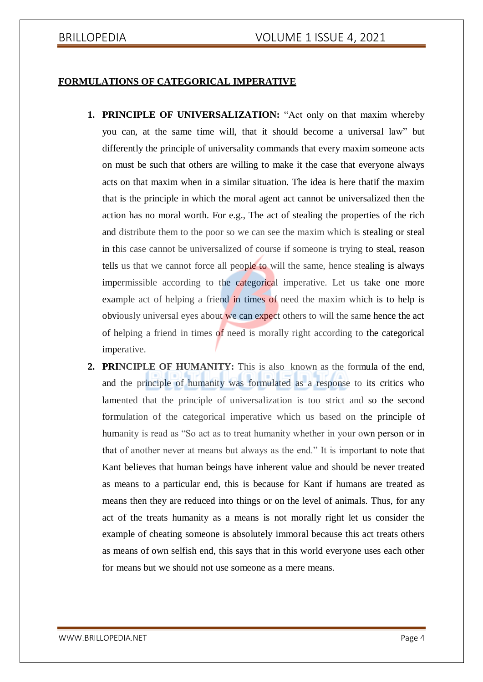### **FORMULATIONS OF CATEGORICAL IMPERATIVE**

- **1. PRINCIPLE OF UNIVERSALIZATION:** "Act only on that maxim whereby you can, at the same time will, that it should become a universal law" but differently the principle of universality commands that every maxim someone acts on must be such that others are willing to make it the case that everyone always acts on that maxim when in a similar situation. The idea is here thatif the maxim that is the principle in which the moral agent act cannot be universalized then the action has no moral worth. For e.g., The act of stealing the properties of the rich and distribute them to the poor so we can see the maxim which is stealing or steal in this case cannot be universalized of course if someone is trying to steal, reason tells us that we cannot force all people to will the same, hence stealing is always impermissible according to the categorical imperative. Let us take one more example act of helping a friend in times of need the maxim which is to help is obviously universal eyes about we can expect others to will the same hence the act of helping a friend in times of need is morally right according to the categorical imperative.
- **2. PRINCIPLE OF HUMANITY:** This is also known as the formula of the end, and the principle of humanity was formulated as a response to its critics who lamented that the principle of universalization is too strict and so the second formulation of the categorical imperative which us based on the principle of humanity is read as "So act as to treat humanity whether in your own person or in that of another never at means but always as the end." It is important to note that Kant believes that human beings have inherent value and should be never treated as means to a particular end, this is because for Kant if humans are treated as means then they are reduced into things or on the level of animals. Thus, for any act of the treats humanity as a means is not morally right let us consider the example of cheating someone is absolutely immoral because this act treats others as means of own selfish end, this says that in this world everyone uses each other for means but we should not use someone as a mere means.